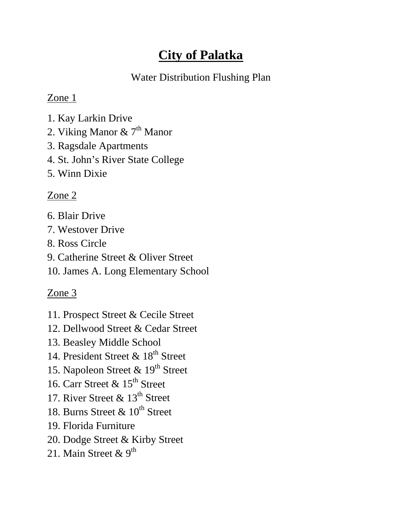# **City of Palatka**

### Water Distribution Flushing Plan

### Zone 1

- 1. Kay Larkin Drive
- 2. Viking Manor  $\& 7<sup>th</sup>$  Manor
- 3. Ragsdale Apartments
- 4. St. John's River State College
- 5. Winn Dixie

## Zone 2

- 6. Blair Drive
- 7. Westover Drive
- 8. Ross Circle
- 9. Catherine Street & Oliver Street
- 10. James A. Long Elementary School

# Zone 3

- 11. Prospect Street & Cecile Street
- 12. Dellwood Street & Cedar Street
- 13. Beasley Middle School
- 14. President Street & 18<sup>th</sup> Street
- 15. Napoleon Street & 19<sup>th</sup> Street
- 16. Carr Street  $\&$  15<sup>th</sup> Street
- 17. River Street  $\&$  13<sup>th</sup> Street
- 18. Burns Street  $\&$  10<sup>th</sup> Street
- 19. Florida Furniture
- 20. Dodge Street & Kirby Street
- 21. Main Street &  $9^{\text{th}}$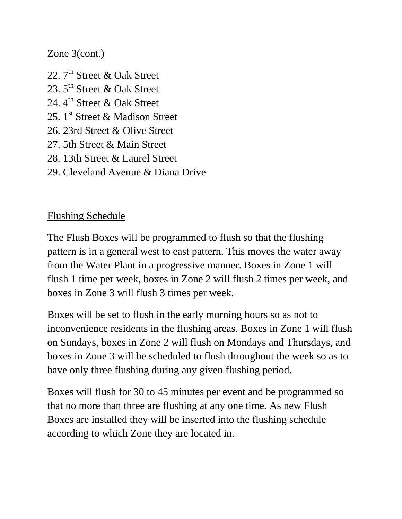#### Zone 3(cont.)

- 22.  $7<sup>th</sup>$  Street & Oak Street
- 23. 5<sup>th</sup> Street & Oak Street
- 24.  $4^{\text{th}}$  Street & Oak Street
- 25.  $1^{\text{st}}$  Street & Madison Street
- 26. 23rd Street & Olive Street
- 27. 5th Street & Main Street
- 28. 13th Street & Laurel Street
- 29. Cleveland Avenue & Diana Drive

#### Flushing Schedule

The Flush Boxes will be programmed to flush so that the flushing pattern is in a general west to east pattern. This moves the water away from the Water Plant in a progressive manner. Boxes in Zone 1 will flush 1 time per week, boxes in Zone 2 will flush 2 times per week, and boxes in Zone 3 will flush 3 times per week.

Boxes will be set to flush in the early morning hours so as not to inconvenience residents in the flushing areas. Boxes in Zone 1 will flush on Sundays, boxes in Zone 2 will flush on Mondays and Thursdays, and boxes in Zone 3 will be scheduled to flush throughout the week so as to have only three flushing during any given flushing period.

Boxes will flush for 30 to 45 minutes per event and be programmed so that no more than three are flushing at any one time. As new Flush Boxes are installed they will be inserted into the flushing schedule according to which Zone they are located in.